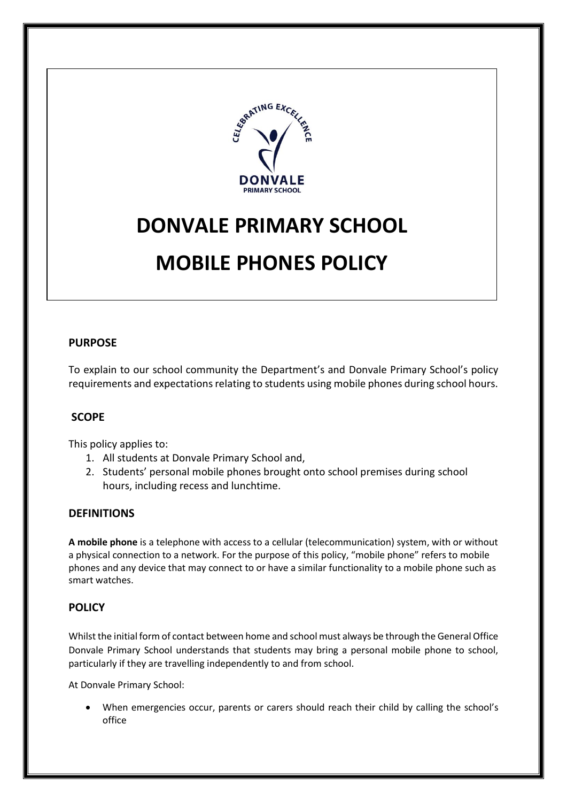

# **DONVALE PRIMARY SCHOOL**

# **MOBILE PHONES POLICY**

# **PURPOSE**

To explain to our school community the Department's and Donvale Primary School's policy requirements and expectations relating to students using mobile phones during school hours.

# **SCOPE**

This policy applies to:

- 1. All students at Donvale Primary School and,
- 2. Students' personal mobile phones brought onto school premises during school hours, including recess and lunchtime.

### **DEFINITIONS**

**A mobile phone** is a telephone with access to a cellular (telecommunication) system, with or without a physical connection to a network. For the purpose of this policy, "mobile phone" refers to mobile phones and any device that may connect to or have a similar functionality to a mobile phone such as smart watches.

# **POLICY**

Whilst the initial form of contact between home and school must always be through the General Office Donvale Primary School understands that students may bring a personal mobile phone to school, particularly if they are travelling independently to and from school.

At Donvale Primary School:

 When emergencies occur, parents or carers should reach their child by calling the school's office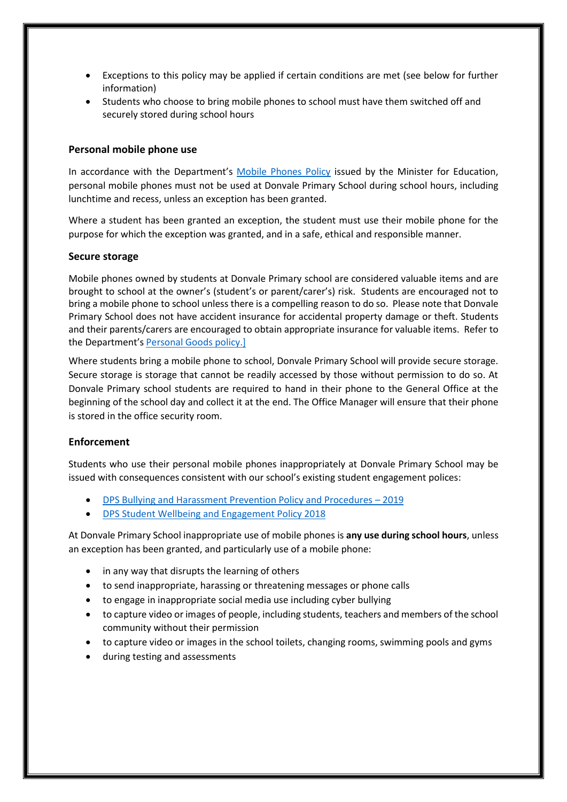- Exceptions to this policy may be applied if certain conditions are met (see below for further information)
- Students who choose to bring mobile phones to school must have them switched off and securely stored during school hours

#### **Personal mobile phone use**

In accordance with the Department's [Mobile Phones Policy](https://www.education.vic.gov.au/school/principals/spag/safety/Pages/mobilephones.aspx) issued by the Minister for Education, personal mobile phones must not be used at Donvale Primary School during school hours, including lunchtime and recess, unless an exception has been granted.

Where a student has been granted an exception, the student must use their mobile phone for the purpose for which the exception was granted, and in a safe, ethical and responsible manner.

#### **Secure storage**

Mobile phones owned by students at Donvale Primary school are considered valuable items and are brought to school at the owner's (student's or parent/carer's) risk. Students are encouraged not to bring a mobile phone to school unless there is a compelling reason to do so. Please note that Donvale Primary School does not have accident insurance for accidental property damage or theft. Students and their parents/carers are encouraged to obtain appropriate insurance for valuable items. Refer to the Department's [Personal Goods](https://www.education.vic.gov.au/school/principals/spag/governance/pages/personalgoods.aspx) policy.]

Where students bring a mobile phone to school, Donvale Primary School will provide secure storage. Secure storage is storage that cannot be readily accessed by those without permission to do so. At Donvale Primary school students are required to hand in their phone to the General Office at the beginning of the school day and collect it at the end. The Office Manager will ensure that their phone is stored in the office security room.

#### **Enforcement**

Students who use their personal mobile phones inappropriately at Donvale Primary School may be issued with consequences consistent with our school's existing student engagement polices:

- [DPS Bullying and Harassment Prevention Policy and Procedures](http://donvaleps.vic.edu.au/wp-content/uploads/2011/03/DPS-Bullying-and-Harassment-Prevention-Policy-and-Procedures-2019.pdf)  2019
- [DPS Student Wellbeing and Engagement Policy 2018](http://donvaleps.vic.edu.au/wp-content/uploads/2011/03/DPS-Student-Wellbeing-and-Engagement-Policy-2018.pdf)

At Donvale Primary School inappropriate use of mobile phones is **any use during school hours**, unless an exception has been granted, and particularly use of a mobile phone:

- in any way that disrupts the learning of others
- to send inappropriate, harassing or threatening messages or phone calls
- to engage in inappropriate social media use including cyber bullying
- to capture video or images of people, including students, teachers and members of the school community without their permission
- to capture video or images in the school toilets, changing rooms, swimming pools and gyms
- during testing and assessments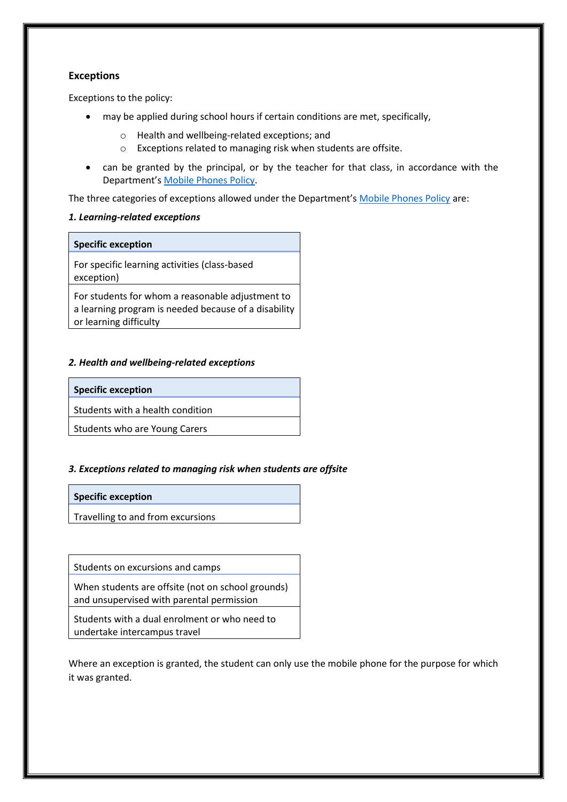#### **Exceptions**

Exceptions to the policy:

- may be applied during school hours if certain conditions are met, specifically,
	- o Health and wellbeing-related exceptions; and
	- o Exceptions related to managing risk when students are offsite.
- can be granted by the principal, or by the teacher for that class, in accordance with the Department's [Mobile Phones Policy.](https://www.education.vic.gov.au/school/principals/spag/safety/Pages/mobilephones.aspx)

The three categories of exceptions allowed under the Department's [Mobile Phones Policy](https://www.education.vic.gov.au/school/principals/spag/safety/Pages/mobilephones.aspx) are:

#### *1. Learning-related exceptions*

#### **Specific exception**

For specific learning activities (class-based exception)

For students for whom a reasonable adjustment to a learning program is needed because of a disability or learning difficulty

#### *2. Health and wellbeing-related exceptions*

#### **Specific exception**

Students with a health condition

Students who are Young Carers

#### *3. Exceptions related to managing risk when students are offsite*

#### **Specific exception**

Travelling to and from excursions

Students on excursions and camps

When students are offsite (not on school grounds) and unsupervised with parental permission

Students with a dual enrolment or who need to undertake intercampus travel

Where an exception is granted, the student can only use the mobile phone for the purpose for which it was granted.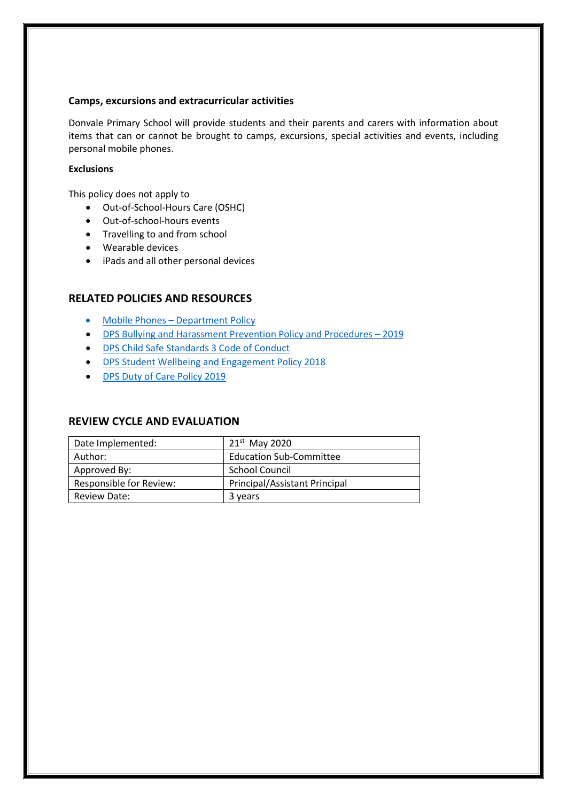#### **Camps, excursions and extracurricular activities**

Donvale Primary School will provide students and their parents and carers with information about items that can or cannot be brought to camps, excursions, special activities and events, including personal mobile phones.

#### **Exclusions**

This policy does not apply to

- Out-of-School-Hours Care (OSHC)
- Out-of-school-hours events
- Travelling to and from school
- Wearable devices
- iPads and all other personal devices

#### **RELATED POLICIES AND RESOURCES**

- Mobile Phones [Department Policy](https://www.education.vic.gov.au/school/principals/spag/safety/Pages/mobilephones.aspx)
- [DPS Bullying and Harassment Prevention Policy and Procedures](http://donvaleps.vic.edu.au/wp-content/uploads/2011/03/DPS-Bullying-and-Harassment-Prevention-Policy-and-Procedures-2019.pdf)  2019
- [DPS Child Safe Standards 3 Code of Conduct](http://donvaleps.vic.edu.au/wp-content/uploads/2011/03/DPS-Child-Safe-Standards-3-Code-of-Conduct.pdf)
- [DPS Student Wellbeing and Engagement Policy 2018](http://donvaleps.vic.edu.au/wp-content/uploads/2011/03/DPS-Student-Wellbeing-and-Engagement-Policy-2018.pdf)
- [DPS Duty of Care Policy 2019](http://donvaleps.vic.edu.au/wp-content/uploads/2011/03/DPS-Duty-of-Care-Policy-2019.pdf)

#### **REVIEW CYCLE AND EVALUATION**

| Date Implemented:       | $21st$ May 2020                |
|-------------------------|--------------------------------|
| Author:                 | <b>Education Sub-Committee</b> |
| Approved By:            | <b>School Council</b>          |
| Responsible for Review: | Principal/Assistant Principal  |
| Review Date:            | 3 years                        |